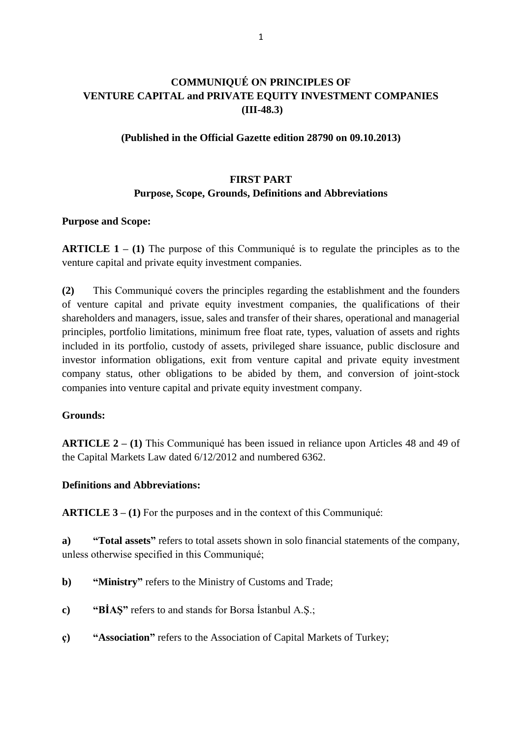# **COMMUNIQUÉ ON PRINCIPLES OF VENTURE CAPITAL and PRIVATE EQUITY INVESTMENT COMPANIES (III-48.3)**

#### **(Published in the Official Gazette edition 28790 on 09.10.2013)**

## **FIRST PART Purpose, Scope, Grounds, Definitions and Abbreviations**

#### **Purpose and Scope:**

**ARTICLE 1 – (1)** The purpose of this Communiqué is to regulate the principles as to the venture capital and private equity investment companies.

**(2)** This Communiqué covers the principles regarding the establishment and the founders of venture capital and private equity investment companies, the qualifications of their shareholders and managers, issue, sales and transfer of their shares, operational and managerial principles, portfolio limitations, minimum free float rate, types, valuation of assets and rights included in its portfolio, custody of assets, privileged share issuance, public disclosure and investor information obligations, exit from venture capital and private equity investment company status, other obligations to be abided by them, and conversion of joint-stock companies into venture capital and private equity investment company.

### **Grounds:**

**ARTICLE 2 – (1)** This Communiqué has been issued in reliance upon Articles 48 and 49 of the Capital Markets Law dated 6/12/2012 and numbered 6362.

#### **Definitions and Abbreviations:**

**ARTICLE 3 – (1)** For the purposes and in the context of this Communiqué:

**a) "Total assets"** refers to total assets shown in solo financial statements of the company, unless otherwise specified in this Communiqué;

- **b**) **"Ministry"** refers to the Ministry of Customs and Trade;
- **c) "BİAŞ"** refers to and stands for Borsa İstanbul A.Ş.;
- **ç) "Association"** refers to the Association of Capital Markets of Turkey;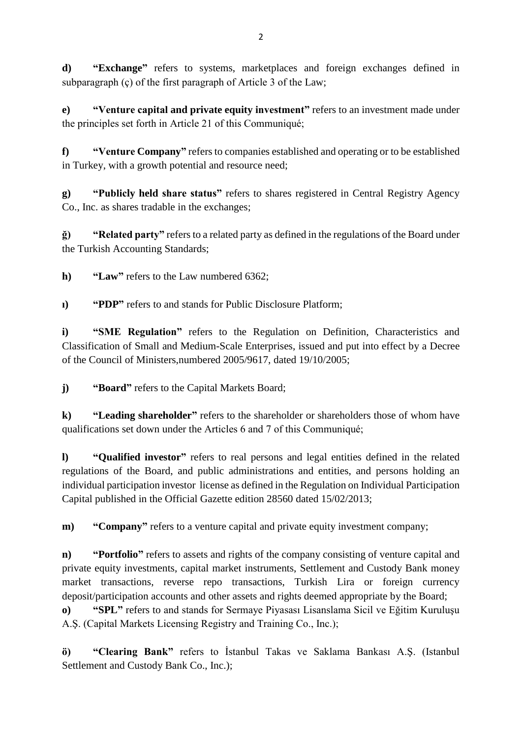**d) "Exchange"** refers to systems, marketplaces and foreign exchanges defined in subparagraph (ç) of the first paragraph of Article 3 of the Law;

**e) "Venture capital and private equity investment"** refers to an investment made under the principles set forth in Article 21 of this Communiqué;

**f) "Venture Company"** refers to companies established and operating or to be established in Turkey, with a growth potential and resource need;

**g) "Publicly held share status"** refers to shares registered in Central Registry Agency Co., Inc. as shares tradable in the exchanges;

**ğ) "Related party"** refers to a related party as defined in the regulations of the Board under the Turkish Accounting Standards;

**h) "Law"** refers to the Law numbered 6362;

**ı) "PDP"** refers to and stands for Public Disclosure Platform;

**i) "SME Regulation"** refers to the Regulation on Definition, Characteristics and Classification of Small and Medium-Scale Enterprises, issued and put into effect by a Decree of the Council of Ministers,numbered 2005/9617, dated 19/10/2005;

**j) "Board"** refers to the Capital Markets Board;

**k) "Leading shareholder"** refers to the shareholder or shareholders those of whom have qualifications set down under the Articles 6 and 7 of this Communiqué;

**l) "Qualified investor"** refers to real persons and legal entities defined in the related regulations of the Board, and public administrations and entities, and persons holding an individual participation investor license as defined in the Regulation on Individual Participation Capital published in the Official Gazette edition 28560 dated 15/02/2013;

**m**) **"Company"** refers to a venture capital and private equity investment company;

**n) "Portfolio"** refers to assets and rights of the company consisting of venture capital and private equity investments, capital market instruments, Settlement and Custody Bank money market transactions, reverse repo transactions, Turkish Lira or foreign currency deposit/participation accounts and other assets and rights deemed appropriate by the Board;

**o) "SPL"** refers to and stands for Sermaye Piyasası Lisanslama Sicil ve Eğitim Kuruluşu A.Ş. (Capital Markets Licensing Registry and Training Co., Inc.);

**ö) "Clearing Bank"** refers to İstanbul Takas ve Saklama Bankası A.Ş. (Istanbul Settlement and Custody Bank Co., Inc.);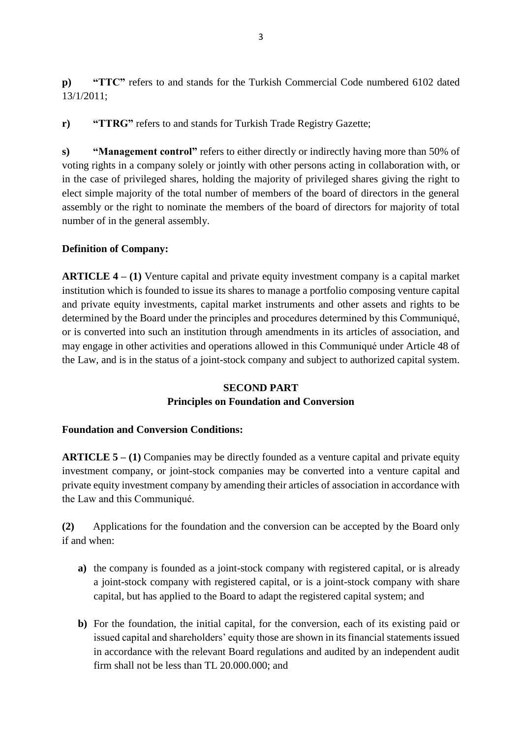**p) "TTC"** refers to and stands for the Turkish Commercial Code numbered 6102 dated 13/1/2011;

**r) "TTRG"** refers to and stands for Turkish Trade Registry Gazette;

**s) "Management control"** refers to either directly or indirectly having more than 50% of voting rights in a company solely or jointly with other persons acting in collaboration with, or in the case of privileged shares, holding the majority of privileged shares giving the right to elect simple majority of the total number of members of the board of directors in the general assembly or the right to nominate the members of the board of directors for majority of total number of in the general assembly.

### **Definition of Company:**

**ARTICLE 4 – (1)** Venture capital and private equity investment company is a capital market institution which is founded to issue its shares to manage a portfolio composing venture capital and private equity investments, capital market instruments and other assets and rights to be determined by the Board under the principles and procedures determined by this Communiqué, or is converted into such an institution through amendments in its articles of association, and may engage in other activities and operations allowed in this Communiqué under Article 48 of the Law, and is in the status of a joint-stock company and subject to authorized capital system.

#### **SECOND PART Principles on Foundation and Conversion**

### **Foundation and Conversion Conditions:**

**ARTICLE 5 – (1)** Companies may be directly founded as a venture capital and private equity investment company, or joint-stock companies may be converted into a venture capital and private equity investment company by amending their articles of association in accordance with the Law and this Communiqué.

**(2)** Applications for the foundation and the conversion can be accepted by the Board only if and when:

- **a)** the company is founded as a joint-stock company with registered capital, or is already a joint-stock company with registered capital, or is a joint-stock company with share capital, but has applied to the Board to adapt the registered capital system; and
- **b)** For the foundation, the initial capital, for the conversion, each of its existing paid or issued capital and shareholders' equity those are shown in its financial statements issued in accordance with the relevant Board regulations and audited by an independent audit firm shall not be less than TL 20.000.000; and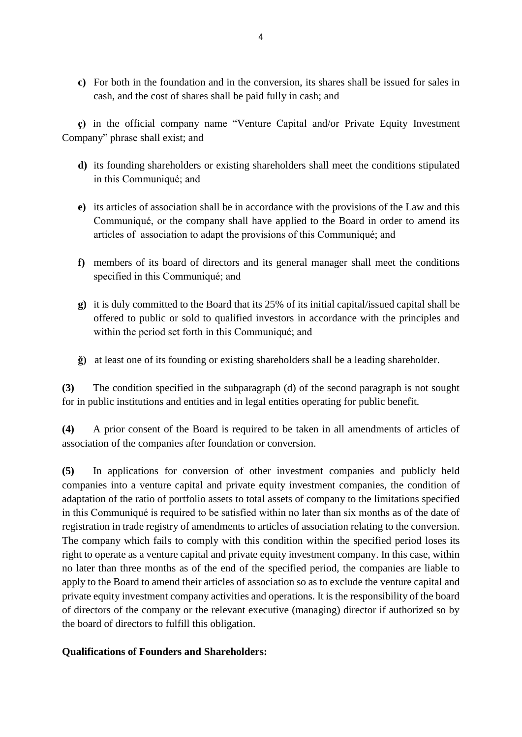**c)** For both in the foundation and in the conversion, its shares shall be issued for sales in cash, and the cost of shares shall be paid fully in cash; and

**ç)** in the official company name "Venture Capital and/or Private Equity Investment Company" phrase shall exist; and

- **d)** its founding shareholders or existing shareholders shall meet the conditions stipulated in this Communiqué; and
- **e)** its articles of association shall be in accordance with the provisions of the Law and this Communiqué, or the company shall have applied to the Board in order to amend its articles of association to adapt the provisions of this Communiqué; and
- **f)** members of its board of directors and its general manager shall meet the conditions specified in this Communiqué; and
- **g)** it is duly committed to the Board that its 25% of its initial capital/issued capital shall be offered to public or sold to qualified investors in accordance with the principles and within the period set forth in this Communiqué; and
- **ğ)** at least one of its founding or existing shareholders shall be a leading shareholder.

**(3)** The condition specified in the subparagraph (d) of the second paragraph is not sought for in public institutions and entities and in legal entities operating for public benefit.

**(4)** A prior consent of the Board is required to be taken in all amendments of articles of association of the companies after foundation or conversion.

**(5)** In applications for conversion of other investment companies and publicly held companies into a venture capital and private equity investment companies, the condition of adaptation of the ratio of portfolio assets to total assets of company to the limitations specified in this Communiqué is required to be satisfied within no later than six months as of the date of registration in trade registry of amendments to articles of association relating to the conversion. The company which fails to comply with this condition within the specified period loses its right to operate as a venture capital and private equity investment company. In this case, within no later than three months as of the end of the specified period, the companies are liable to apply to the Board to amend their articles of association so as to exclude the venture capital and private equity investment company activities and operations. It is the responsibility of the board of directors of the company or the relevant executive (managing) director if authorized so by the board of directors to fulfill this obligation.

### **Qualifications of Founders and Shareholders:**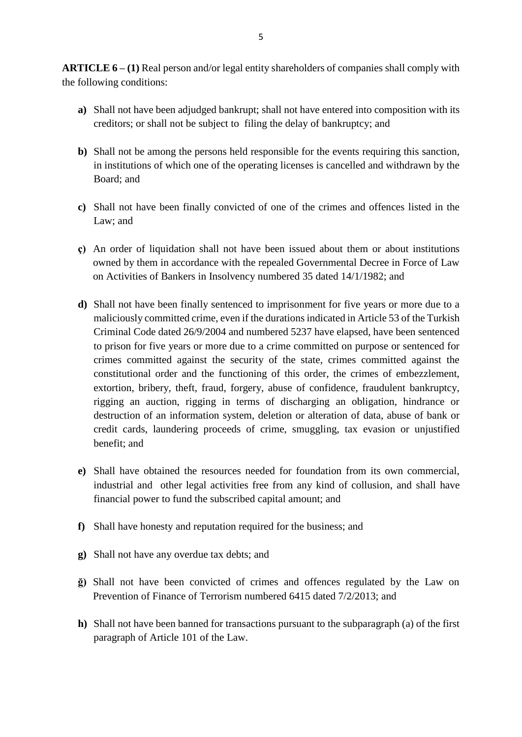**ARTICLE 6 – (1)** Real person and/or legal entity shareholders of companies shall comply with the following conditions:

- **a)** Shall not have been adjudged bankrupt; shall not have entered into composition with its creditors; or shall not be subject to filing the delay of bankruptcy; and
- **b)** Shall not be among the persons held responsible for the events requiring this sanction, in institutions of which one of the operating licenses is cancelled and withdrawn by the Board; and
- **c)** Shall not have been finally convicted of one of the crimes and offences listed in the Law; and
- **ç)** An order of liquidation shall not have been issued about them or about institutions owned by them in accordance with the repealed Governmental Decree in Force of Law on Activities of Bankers in Insolvency numbered 35 dated 14/1/1982; and
- **d)** Shall not have been finally sentenced to imprisonment for five years or more due to a maliciously committed crime, even if the durations indicated in Article 53 of the Turkish Criminal Code dated 26/9/2004 and numbered 5237 have elapsed, have been sentenced to prison for five years or more due to a crime committed on purpose or sentenced for crimes committed against the security of the state, crimes committed against the constitutional order and the functioning of this order, the crimes of embezzlement, extortion, bribery, theft, fraud, forgery, abuse of confidence, fraudulent bankruptcy, rigging an auction, rigging in terms of discharging an obligation, hindrance or destruction of an information system, deletion or alteration of data, abuse of bank or credit cards, laundering proceeds of crime, smuggling, tax evasion or unjustified benefit; and
- **e)** Shall have obtained the resources needed for foundation from its own commercial, industrial and other legal activities free from any kind of collusion, and shall have financial power to fund the subscribed capital amount; and
- **f)** Shall have honesty and reputation required for the business; and
- **g)** Shall not have any overdue tax debts; and
- **ğ)** Shall not have been convicted of crimes and offences regulated by the Law on Prevention of Finance of Terrorism numbered 6415 dated 7/2/2013; and
- **h)** Shall not have been banned for transactions pursuant to the subparagraph (a) of the first paragraph of Article 101 of the Law.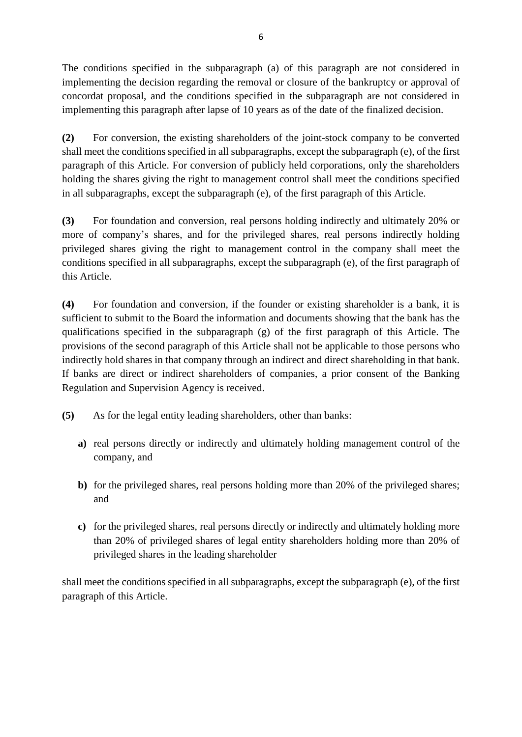The conditions specified in the subparagraph (a) of this paragraph are not considered in implementing the decision regarding the removal or closure of the bankruptcy or approval of concordat proposal, and the conditions specified in the subparagraph are not considered in implementing this paragraph after lapse of 10 years as of the date of the finalized decision.

**(2)** For conversion, the existing shareholders of the joint-stock company to be converted shall meet the conditions specified in all subparagraphs, except the subparagraph (e), of the first paragraph of this Article. For conversion of publicly held corporations, only the shareholders holding the shares giving the right to management control shall meet the conditions specified in all subparagraphs, except the subparagraph (e), of the first paragraph of this Article.

**(3)** For foundation and conversion, real persons holding indirectly and ultimately 20% or more of company's shares, and for the privileged shares, real persons indirectly holding privileged shares giving the right to management control in the company shall meet the conditions specified in all subparagraphs, except the subparagraph (e), of the first paragraph of this Article.

**(4)** For foundation and conversion, if the founder or existing shareholder is a bank, it is sufficient to submit to the Board the information and documents showing that the bank has the qualifications specified in the subparagraph (g) of the first paragraph of this Article. The provisions of the second paragraph of this Article shall not be applicable to those persons who indirectly hold shares in that company through an indirect and direct shareholding in that bank. If banks are direct or indirect shareholders of companies, a prior consent of the Banking Regulation and Supervision Agency is received.

- **(5)** As for the legal entity leading shareholders, other than banks:
	- **a)** real persons directly or indirectly and ultimately holding management control of the company, and
	- **b**) for the privileged shares, real persons holding more than 20% of the privileged shares; and
	- **c)** for the privileged shares, real persons directly or indirectly and ultimately holding more than 20% of privileged shares of legal entity shareholders holding more than 20% of privileged shares in the leading shareholder

shall meet the conditions specified in all subparagraphs, except the subparagraph (e), of the first paragraph of this Article.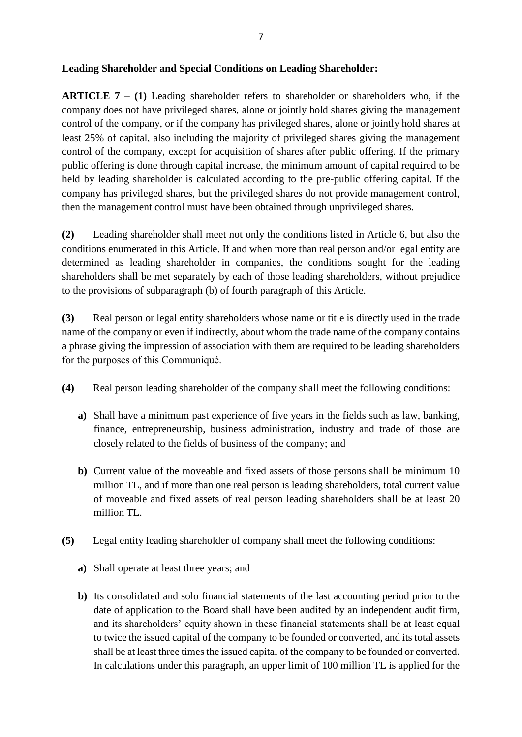**ARTICLE 7 – (1)** Leading shareholder refers to shareholder or shareholders who, if the company does not have privileged shares, alone or jointly hold shares giving the management control of the company, or if the company has privileged shares, alone or jointly hold shares at least 25% of capital, also including the majority of privileged shares giving the management control of the company, except for acquisition of shares after public offering. If the primary public offering is done through capital increase, the minimum amount of capital required to be held by leading shareholder is calculated according to the pre-public offering capital. If the company has privileged shares, but the privileged shares do not provide management control, then the management control must have been obtained through unprivileged shares.

**(2)** Leading shareholder shall meet not only the conditions listed in Article 6, but also the conditions enumerated in this Article. If and when more than real person and/or legal entity are determined as leading shareholder in companies, the conditions sought for the leading shareholders shall be met separately by each of those leading shareholders, without prejudice to the provisions of subparagraph (b) of fourth paragraph of this Article.

**(3)** Real person or legal entity shareholders whose name or title is directly used in the trade name of the company or even if indirectly, about whom the trade name of the company contains a phrase giving the impression of association with them are required to be leading shareholders for the purposes of this Communiqué.

- **(4)** Real person leading shareholder of the company shall meet the following conditions:
	- **a)** Shall have a minimum past experience of five years in the fields such as law, banking, finance, entrepreneurship, business administration, industry and trade of those are closely related to the fields of business of the company; and
	- **b**) Current value of the moveable and fixed assets of those persons shall be minimum 10 million TL, and if more than one real person is leading shareholders, total current value of moveable and fixed assets of real person leading shareholders shall be at least 20 million TL.
- **(5)** Legal entity leading shareholder of company shall meet the following conditions:
	- **a)** Shall operate at least three years; and
	- **b)** Its consolidated and solo financial statements of the last accounting period prior to the date of application to the Board shall have been audited by an independent audit firm, and its shareholders' equity shown in these financial statements shall be at least equal to twice the issued capital of the company to be founded or converted, and its total assets shall be at least three times the issued capital of the company to be founded or converted. In calculations under this paragraph, an upper limit of 100 million TL is applied for the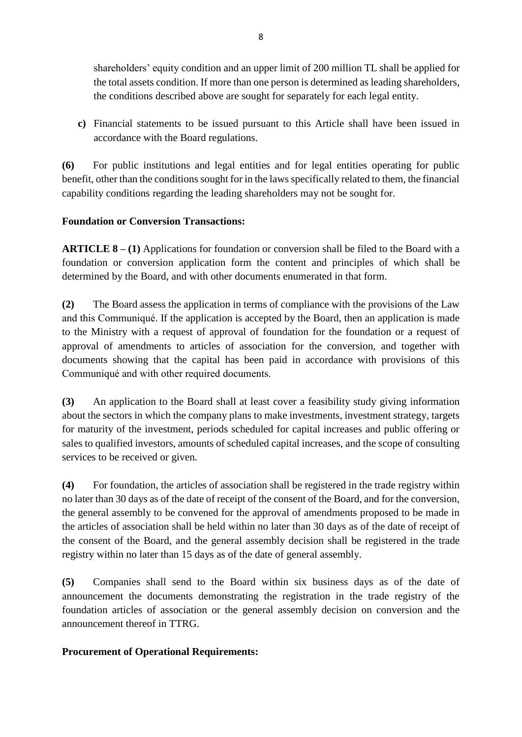shareholders' equity condition and an upper limit of 200 million TL shall be applied for the total assets condition. If more than one person is determined as leading shareholders, the conditions described above are sought for separately for each legal entity.

**c)** Financial statements to be issued pursuant to this Article shall have been issued in accordance with the Board regulations.

**(6)** For public institutions and legal entities and for legal entities operating for public benefit, other than the conditions sought for in the laws specifically related to them, the financial capability conditions regarding the leading shareholders may not be sought for.

## **Foundation or Conversion Transactions:**

**ARTICLE 8 – (1)** Applications for foundation or conversion shall be filed to the Board with a foundation or conversion application form the content and principles of which shall be determined by the Board, and with other documents enumerated in that form.

**(2)** The Board assess the application in terms of compliance with the provisions of the Law and this Communiqué. If the application is accepted by the Board, then an application is made to the Ministry with a request of approval of foundation for the foundation or a request of approval of amendments to articles of association for the conversion, and together with documents showing that the capital has been paid in accordance with provisions of this Communiqué and with other required documents.

**(3)** An application to the Board shall at least cover a feasibility study giving information about the sectors in which the company plans to make investments, investment strategy, targets for maturity of the investment, periods scheduled for capital increases and public offering or sales to qualified investors, amounts of scheduled capital increases, and the scope of consulting services to be received or given.

**(4)** For foundation, the articles of association shall be registered in the trade registry within no later than 30 days as of the date of receipt of the consent of the Board, and for the conversion, the general assembly to be convened for the approval of amendments proposed to be made in the articles of association shall be held within no later than 30 days as of the date of receipt of the consent of the Board, and the general assembly decision shall be registered in the trade registry within no later than 15 days as of the date of general assembly.

**(5)** Companies shall send to the Board within six business days as of the date of announcement the documents demonstrating the registration in the trade registry of the foundation articles of association or the general assembly decision on conversion and the announcement thereof in TTRG.

### **Procurement of Operational Requirements:**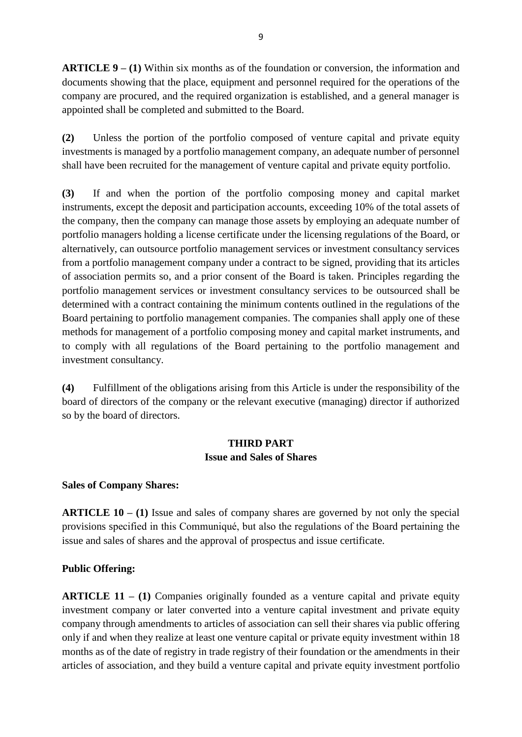**ARTICLE 9 – (1)** Within six months as of the foundation or conversion, the information and documents showing that the place, equipment and personnel required for the operations of the company are procured, and the required organization is established, and a general manager is appointed shall be completed and submitted to the Board.

**(2)** Unless the portion of the portfolio composed of venture capital and private equity investments is managed by a portfolio management company, an adequate number of personnel shall have been recruited for the management of venture capital and private equity portfolio.

**(3)** If and when the portion of the portfolio composing money and capital market instruments, except the deposit and participation accounts, exceeding 10% of the total assets of the company, then the company can manage those assets by employing an adequate number of portfolio managers holding a license certificate under the licensing regulations of the Board, or alternatively, can outsource portfolio management services or investment consultancy services from a portfolio management company under a contract to be signed, providing that its articles of association permits so, and a prior consent of the Board is taken. Principles regarding the portfolio management services or investment consultancy services to be outsourced shall be determined with a contract containing the minimum contents outlined in the regulations of the Board pertaining to portfolio management companies. The companies shall apply one of these methods for management of a portfolio composing money and capital market instruments, and to comply with all regulations of the Board pertaining to the portfolio management and investment consultancy.

**(4)** Fulfillment of the obligations arising from this Article is under the responsibility of the board of directors of the company or the relevant executive (managing) director if authorized so by the board of directors.

# **THIRD PART Issue and Sales of Shares**

### **Sales of Company Shares:**

**ARTICLE 10 – (1)** Issue and sales of company shares are governed by not only the special provisions specified in this Communiqué, but also the regulations of the Board pertaining the issue and sales of shares and the approval of prospectus and issue certificate.

## **Public Offering:**

**ARTICLE 11 – (1)** Companies originally founded as a venture capital and private equity investment company or later converted into a venture capital investment and private equity company through amendments to articles of association can sell their shares via public offering only if and when they realize at least one venture capital or private equity investment within 18 months as of the date of registry in trade registry of their foundation or the amendments in their articles of association, and they build a venture capital and private equity investment portfolio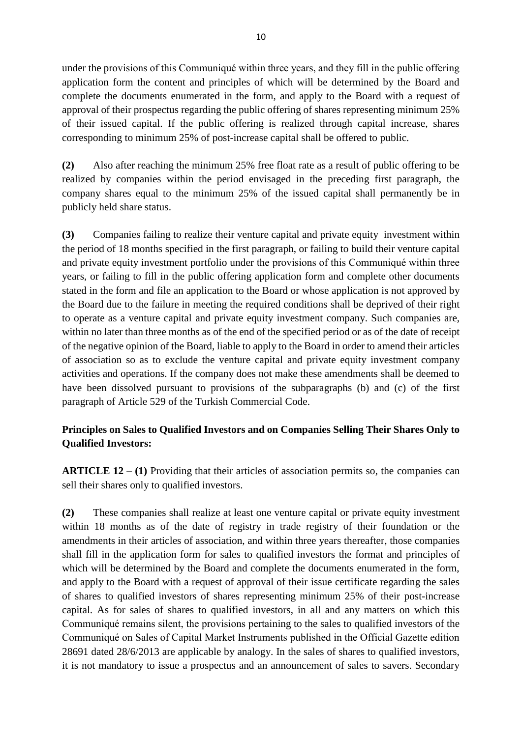under the provisions of this Communiqué within three years, and they fill in the public offering application form the content and principles of which will be determined by the Board and complete the documents enumerated in the form, and apply to the Board with a request of approval of their prospectus regarding the public offering of shares representing minimum 25% of their issued capital. If the public offering is realized through capital increase, shares corresponding to minimum 25% of post-increase capital shall be offered to public.

**(2)** Also after reaching the minimum 25% free float rate as a result of public offering to be realized by companies within the period envisaged in the preceding first paragraph, the company shares equal to the minimum 25% of the issued capital shall permanently be in publicly held share status.

**(3)** Companies failing to realize their venture capital and private equity investment within the period of 18 months specified in the first paragraph, or failing to build their venture capital and private equity investment portfolio under the provisions of this Communiqué within three years, or failing to fill in the public offering application form and complete other documents stated in the form and file an application to the Board or whose application is not approved by the Board due to the failure in meeting the required conditions shall be deprived of their right to operate as a venture capital and private equity investment company. Such companies are, within no later than three months as of the end of the specified period or as of the date of receipt of the negative opinion of the Board, liable to apply to the Board in order to amend their articles of association so as to exclude the venture capital and private equity investment company activities and operations. If the company does not make these amendments shall be deemed to have been dissolved pursuant to provisions of the subparagraphs (b) and (c) of the first paragraph of Article 529 of the Turkish Commercial Code.

## **Principles on Sales to Qualified Investors and on Companies Selling Their Shares Only to Qualified Investors:**

**ARTICLE 12 – (1)** Providing that their articles of association permits so, the companies can sell their shares only to qualified investors.

**(2)** These companies shall realize at least one venture capital or private equity investment within 18 months as of the date of registry in trade registry of their foundation or the amendments in their articles of association, and within three years thereafter, those companies shall fill in the application form for sales to qualified investors the format and principles of which will be determined by the Board and complete the documents enumerated in the form, and apply to the Board with a request of approval of their issue certificate regarding the sales of shares to qualified investors of shares representing minimum 25% of their post-increase capital. As for sales of shares to qualified investors, in all and any matters on which this Communiqué remains silent, the provisions pertaining to the sales to qualified investors of the Communiqué on Sales of Capital Market Instruments published in the Official Gazette edition 28691 dated 28/6/2013 are applicable by analogy. In the sales of shares to qualified investors, it is not mandatory to issue a prospectus and an announcement of sales to savers. Secondary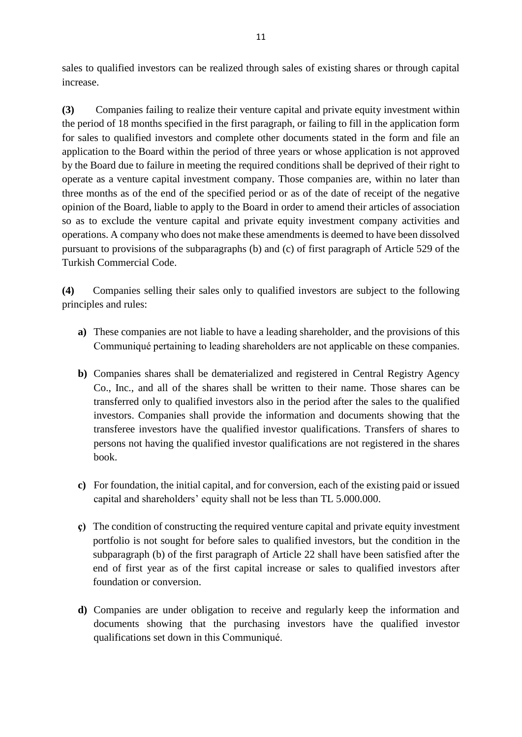sales to qualified investors can be realized through sales of existing shares or through capital increase.

**(3)** Companies failing to realize their venture capital and private equity investment within the period of 18 months specified in the first paragraph, or failing to fill in the application form for sales to qualified investors and complete other documents stated in the form and file an application to the Board within the period of three years or whose application is not approved by the Board due to failure in meeting the required conditions shall be deprived of their right to operate as a venture capital investment company. Those companies are, within no later than three months as of the end of the specified period or as of the date of receipt of the negative opinion of the Board, liable to apply to the Board in order to amend their articles of association so as to exclude the venture capital and private equity investment company activities and operations. A company who does not make these amendments is deemed to have been dissolved pursuant to provisions of the subparagraphs (b) and (c) of first paragraph of Article 529 of the Turkish Commercial Code.

**(4)** Companies selling their sales only to qualified investors are subject to the following principles and rules:

- **a)** These companies are not liable to have a leading shareholder, and the provisions of this Communiqué pertaining to leading shareholders are not applicable on these companies.
- **b)** Companies shares shall be dematerialized and registered in Central Registry Agency Co., Inc., and all of the shares shall be written to their name. Those shares can be transferred only to qualified investors also in the period after the sales to the qualified investors. Companies shall provide the information and documents showing that the transferee investors have the qualified investor qualifications. Transfers of shares to persons not having the qualified investor qualifications are not registered in the shares book.
- **c)** For foundation, the initial capital, and for conversion, each of the existing paid or issued capital and shareholders' equity shall not be less than TL 5.000.000.
- **ç)** The condition of constructing the required venture capital and private equity investment portfolio is not sought for before sales to qualified investors, but the condition in the subparagraph (b) of the first paragraph of Article 22 shall have been satisfied after the end of first year as of the first capital increase or sales to qualified investors after foundation or conversion.
- **d)** Companies are under obligation to receive and regularly keep the information and documents showing that the purchasing investors have the qualified investor qualifications set down in this Communiqué.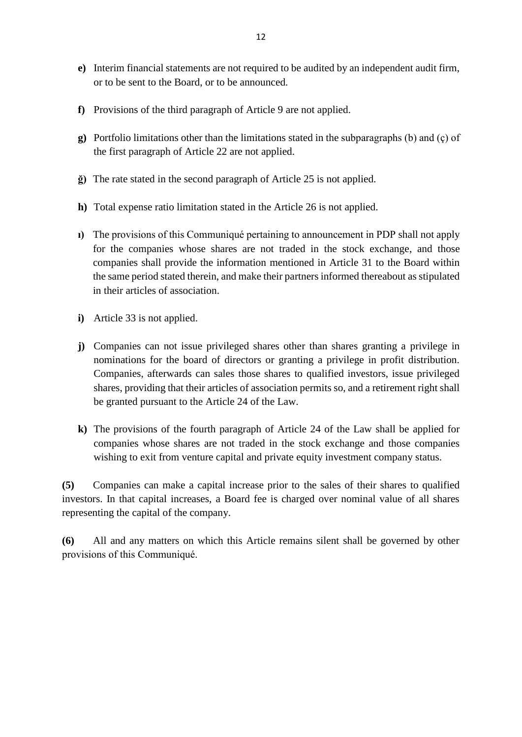- **e)** Interim financial statements are not required to be audited by an independent audit firm, or to be sent to the Board, or to be announced.
- **f)** Provisions of the third paragraph of Article 9 are not applied.
- **g)** Portfolio limitations other than the limitations stated in the subparagraphs (b) and (ç) of the first paragraph of Article 22 are not applied.
- **ğ)** The rate stated in the second paragraph of Article 25 is not applied.
- **h)** Total expense ratio limitation stated in the Article 26 is not applied.
- **ı)** The provisions of this Communiqué pertaining to announcement in PDP shall not apply for the companies whose shares are not traded in the stock exchange, and those companies shall provide the information mentioned in Article 31 to the Board within the same period stated therein, and make their partners informed thereabout as stipulated in their articles of association.
- **i)** Article 33 is not applied.
- **j)** Companies can not issue privileged shares other than shares granting a privilege in nominations for the board of directors or granting a privilege in profit distribution. Companies, afterwards can sales those shares to qualified investors, issue privileged shares, providing that their articles of association permits so, and a retirement right shall be granted pursuant to the Article 24 of the Law.
- **k)** The provisions of the fourth paragraph of Article 24 of the Law shall be applied for companies whose shares are not traded in the stock exchange and those companies wishing to exit from venture capital and private equity investment company status.

**(5)** Companies can make a capital increase prior to the sales of their shares to qualified investors. In that capital increases, a Board fee is charged over nominal value of all shares representing the capital of the company.

**(6)** All and any matters on which this Article remains silent shall be governed by other provisions of this Communiqué.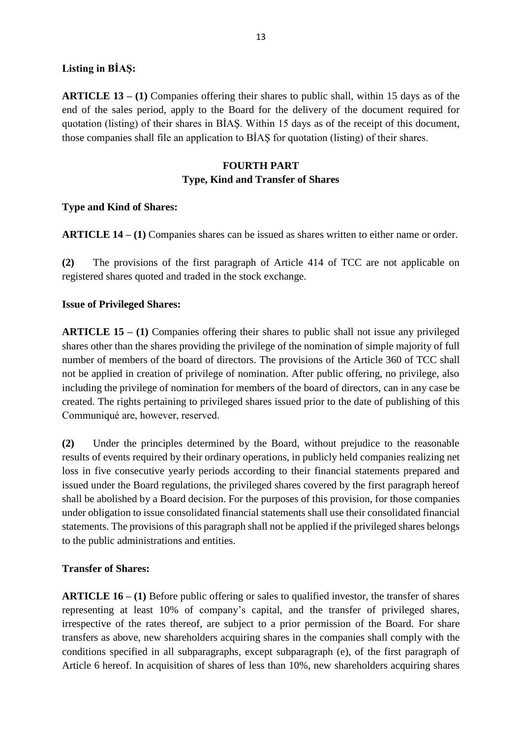### **Listing in BİAŞ:**

**ARTICLE 13 – (1)** Companies offering their shares to public shall, within 15 days as of the end of the sales period, apply to the Board for the delivery of the document required for quotation (listing) of their shares in BİAŞ. Within 15 days as of the receipt of this document, those companies shall file an application to BİAŞ for quotation (listing) of their shares.

### **FOURTH PART Type, Kind and Transfer of Shares**

### **Type and Kind of Shares:**

**ARTICLE 14 – (1)** Companies shares can be issued as shares written to either name or order.

**(2)** The provisions of the first paragraph of Article 414 of TCC are not applicable on registered shares quoted and traded in the stock exchange.

#### **Issue of Privileged Shares:**

**ARTICLE 15 – (1)** Companies offering their shares to public shall not issue any privileged shares other than the shares providing the privilege of the nomination of simple majority of full number of members of the board of directors. The provisions of the Article 360 of TCC shall not be applied in creation of privilege of nomination. After public offering, no privilege, also including the privilege of nomination for members of the board of directors, can in any case be created. The rights pertaining to privileged shares issued prior to the date of publishing of this Communiqué are, however, reserved.

**(2)** Under the principles determined by the Board, without prejudice to the reasonable results of events required by their ordinary operations, in publicly held companies realizing net loss in five consecutive yearly periods according to their financial statements prepared and issued under the Board regulations, the privileged shares covered by the first paragraph hereof shall be abolished by a Board decision. For the purposes of this provision, for those companies under obligation to issue consolidated financial statements shall use their consolidated financial statements. The provisions of this paragraph shall not be applied if the privileged shares belongs to the public administrations and entities.

### **Transfer of Shares:**

**ARTICLE 16 – (1)** Before public offering or sales to qualified investor, the transfer of shares representing at least 10% of company's capital, and the transfer of privileged shares, irrespective of the rates thereof, are subject to a prior permission of the Board. For share transfers as above, new shareholders acquiring shares in the companies shall comply with the conditions specified in all subparagraphs, except subparagraph (e), of the first paragraph of Article 6 hereof. In acquisition of shares of less than 10%, new shareholders acquiring shares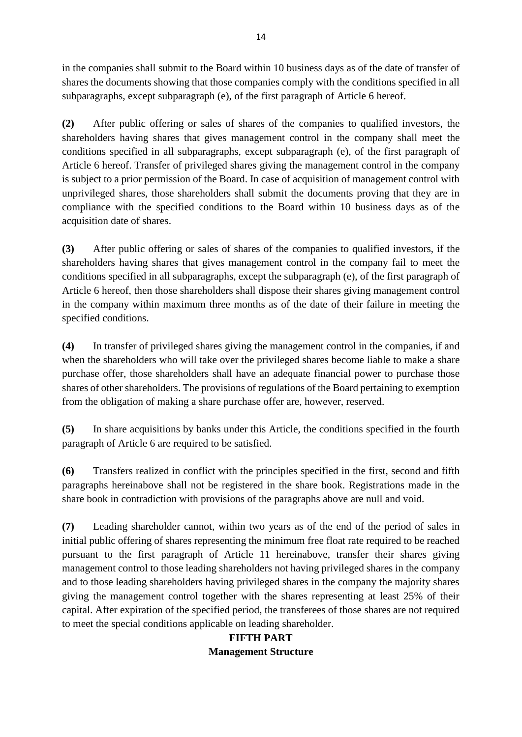in the companies shall submit to the Board within 10 business days as of the date of transfer of shares the documents showing that those companies comply with the conditions specified in all subparagraphs, except subparagraph (e), of the first paragraph of Article 6 hereof.

**(2)** After public offering or sales of shares of the companies to qualified investors, the shareholders having shares that gives management control in the company shall meet the conditions specified in all subparagraphs, except subparagraph (e), of the first paragraph of Article 6 hereof. Transfer of privileged shares giving the management control in the company is subject to a prior permission of the Board. In case of acquisition of management control with unprivileged shares, those shareholders shall submit the documents proving that they are in compliance with the specified conditions to the Board within 10 business days as of the acquisition date of shares.

**(3)** After public offering or sales of shares of the companies to qualified investors, if the shareholders having shares that gives management control in the company fail to meet the conditions specified in all subparagraphs, except the subparagraph (e), of the first paragraph of Article 6 hereof, then those shareholders shall dispose their shares giving management control in the company within maximum three months as of the date of their failure in meeting the specified conditions.

**(4)** In transfer of privileged shares giving the management control in the companies, if and when the shareholders who will take over the privileged shares become liable to make a share purchase offer, those shareholders shall have an adequate financial power to purchase those shares of other shareholders. The provisions of regulations of the Board pertaining to exemption from the obligation of making a share purchase offer are, however, reserved.

**(5)** In share acquisitions by banks under this Article, the conditions specified in the fourth paragraph of Article 6 are required to be satisfied.

**(6)** Transfers realized in conflict with the principles specified in the first, second and fifth paragraphs hereinabove shall not be registered in the share book. Registrations made in the share book in contradiction with provisions of the paragraphs above are null and void.

**(7)** Leading shareholder cannot, within two years as of the end of the period of sales in initial public offering of shares representing the minimum free float rate required to be reached pursuant to the first paragraph of Article 11 hereinabove, transfer their shares giving management control to those leading shareholders not having privileged shares in the company and to those leading shareholders having privileged shares in the company the majority shares giving the management control together with the shares representing at least 25% of their capital. After expiration of the specified period, the transferees of those shares are not required to meet the special conditions applicable on leading shareholder.

# **FIFTH PART Management Structure**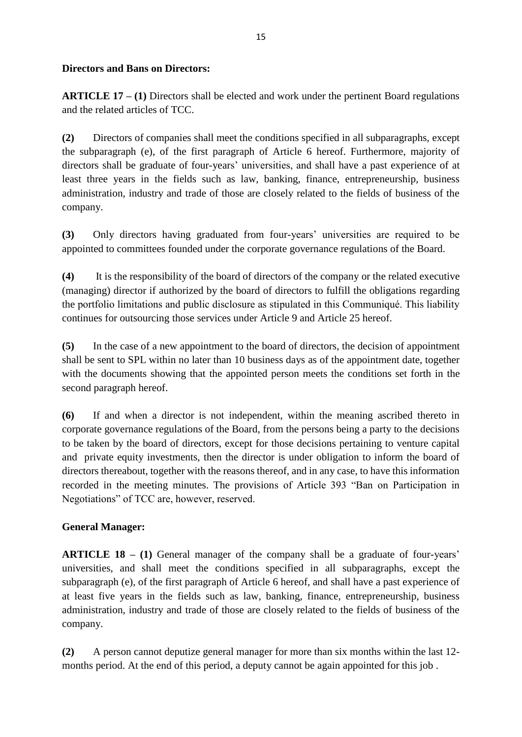#### **Directors and Bans on Directors:**

**ARTICLE 17 – (1)** Directors shall be elected and work under the pertinent Board regulations and the related articles of TCC.

**(2)** Directors of companies shall meet the conditions specified in all subparagraphs, except the subparagraph (e), of the first paragraph of Article 6 hereof. Furthermore, majority of directors shall be graduate of four-years' universities, and shall have a past experience of at least three years in the fields such as law, banking, finance, entrepreneurship, business administration, industry and trade of those are closely related to the fields of business of the company.

**(3)** Only directors having graduated from four-years' universities are required to be appointed to committees founded under the corporate governance regulations of the Board.

**(4)** It is the responsibility of the board of directors of the company or the related executive (managing) director if authorized by the board of directors to fulfill the obligations regarding the portfolio limitations and public disclosure as stipulated in this Communiqué. This liability continues for outsourcing those services under Article 9 and Article 25 hereof.

**(5)** In the case of a new appointment to the board of directors, the decision of appointment shall be sent to SPL within no later than 10 business days as of the appointment date, together with the documents showing that the appointed person meets the conditions set forth in the second paragraph hereof.

**(6)** If and when a director is not independent, within the meaning ascribed thereto in corporate governance regulations of the Board, from the persons being a party to the decisions to be taken by the board of directors, except for those decisions pertaining to venture capital and private equity investments, then the director is under obligation to inform the board of directors thereabout, together with the reasons thereof, and in any case, to have this information recorded in the meeting minutes. The provisions of Article 393 "Ban on Participation in Negotiations" of TCC are, however, reserved.

### **General Manager:**

**ARTICLE 18 – (1)** General manager of the company shall be a graduate of four-years' universities, and shall meet the conditions specified in all subparagraphs, except the subparagraph (e), of the first paragraph of Article 6 hereof, and shall have a past experience of at least five years in the fields such as law, banking, finance, entrepreneurship, business administration, industry and trade of those are closely related to the fields of business of the company.

**(2)** A person cannot deputize general manager for more than six months within the last 12 months period. At the end of this period, a deputy cannot be again appointed for this job .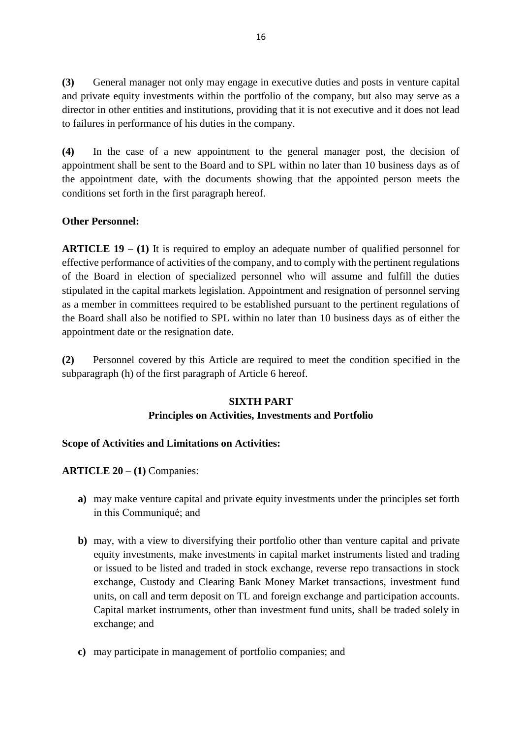**(3)** General manager not only may engage in executive duties and posts in venture capital and private equity investments within the portfolio of the company, but also may serve as a director in other entities and institutions, providing that it is not executive and it does not lead to failures in performance of his duties in the company.

**(4)** In the case of a new appointment to the general manager post, the decision of appointment shall be sent to the Board and to SPL within no later than 10 business days as of the appointment date, with the documents showing that the appointed person meets the conditions set forth in the first paragraph hereof.

### **Other Personnel:**

**ARTICLE 19 – (1)** It is required to employ an adequate number of qualified personnel for effective performance of activities of the company, and to comply with the pertinent regulations of the Board in election of specialized personnel who will assume and fulfill the duties stipulated in the capital markets legislation. Appointment and resignation of personnel serving as a member in committees required to be established pursuant to the pertinent regulations of the Board shall also be notified to SPL within no later than 10 business days as of either the appointment date or the resignation date.

**(2)** Personnel covered by this Article are required to meet the condition specified in the subparagraph (h) of the first paragraph of Article 6 hereof.

### **SIXTH PART**

### **Principles on Activities, Investments and Portfolio**

### **Scope of Activities and Limitations on Activities:**

**ARTICLE 20 – (1)** Companies:

- **a)** may make venture capital and private equity investments under the principles set forth in this Communiqué; and
- **b)** may, with a view to diversifying their portfolio other than venture capital and private equity investments, make investments in capital market instruments listed and trading or issued to be listed and traded in stock exchange, reverse repo transactions in stock exchange, Custody and Clearing Bank Money Market transactions, investment fund units, on call and term deposit on TL and foreign exchange and participation accounts. Capital market instruments, other than investment fund units, shall be traded solely in exchange; and
- **c)** may participate in management of portfolio companies; and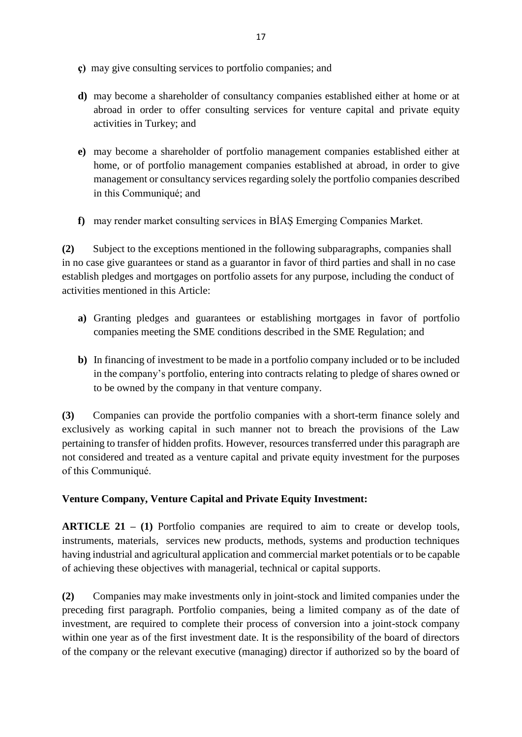- **ç)** may give consulting services to portfolio companies; and
- **d)** may become a shareholder of consultancy companies established either at home or at abroad in order to offer consulting services for venture capital and private equity activities in Turkey; and
- **e)** may become a shareholder of portfolio management companies established either at home, or of portfolio management companies established at abroad, in order to give management or consultancy services regarding solely the portfolio companies described in this Communiqué; and
- **f)** may render market consulting services in BİAŞ Emerging Companies Market.

**(2)** Subject to the exceptions mentioned in the following subparagraphs, companies shall in no case give guarantees or stand as a guarantor in favor of third parties and shall in no case establish pledges and mortgages on portfolio assets for any purpose, including the conduct of activities mentioned in this Article:

- **a)** Granting pledges and guarantees or establishing mortgages in favor of portfolio companies meeting the SME conditions described in the SME Regulation; and
- **b)** In financing of investment to be made in a portfolio company included or to be included in the company's portfolio, entering into contracts relating to pledge of shares owned or to be owned by the company in that venture company.

**(3)** Companies can provide the portfolio companies with a short-term finance solely and exclusively as working capital in such manner not to breach the provisions of the Law pertaining to transfer of hidden profits. However, resources transferred under this paragraph are not considered and treated as a venture capital and private equity investment for the purposes of this Communiqué.

## **Venture Company, Venture Capital and Private Equity Investment:**

**ARTICLE 21 – (1)** Portfolio companies are required to aim to create or develop tools, instruments, materials, services new products, methods, systems and production techniques having industrial and agricultural application and commercial market potentials or to be capable of achieving these objectives with managerial, technical or capital supports.

**(2)** Companies may make investments only in joint-stock and limited companies under the preceding first paragraph. Portfolio companies, being a limited company as of the date of investment, are required to complete their process of conversion into a joint-stock company within one year as of the first investment date. It is the responsibility of the board of directors of the company or the relevant executive (managing) director if authorized so by the board of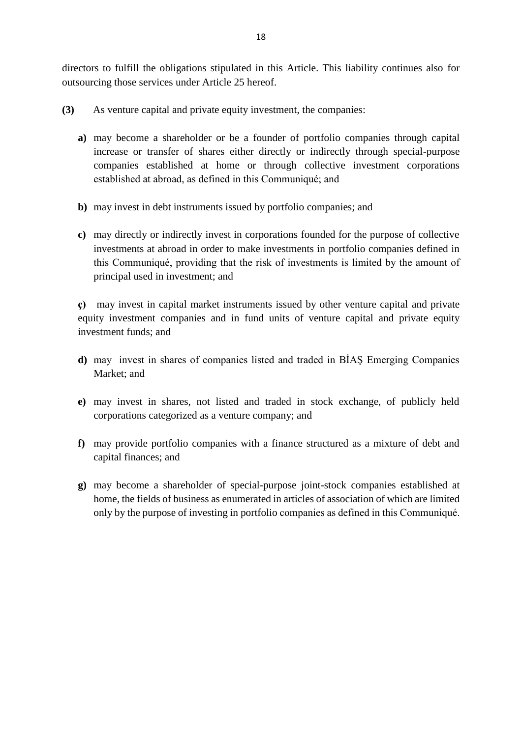directors to fulfill the obligations stipulated in this Article. This liability continues also for outsourcing those services under Article 25 hereof.

**(3)** As venture capital and private equity investment, the companies:

- **a)** may become a shareholder or be a founder of portfolio companies through capital increase or transfer of shares either directly or indirectly through special-purpose companies established at home or through collective investment corporations established at abroad, as defined in this Communiqué; and
- **b)** may invest in debt instruments issued by portfolio companies; and
- **c)** may directly or indirectly invest in corporations founded for the purpose of collective investments at abroad in order to make investments in portfolio companies defined in this Communiqué, providing that the risk of investments is limited by the amount of principal used in investment; and

**ç)** may invest in capital market instruments issued by other venture capital and private equity investment companies and in fund units of venture capital and private equity investment funds; and

- **d)** may invest in shares of companies listed and traded in BİAŞ Emerging Companies Market; and
- **e)** may invest in shares, not listed and traded in stock exchange, of publicly held corporations categorized as a venture company; and
- **f)** may provide portfolio companies with a finance structured as a mixture of debt and capital finances; and
- **g)** may become a shareholder of special-purpose joint-stock companies established at home, the fields of business as enumerated in articles of association of which are limited only by the purpose of investing in portfolio companies as defined in this Communiqué.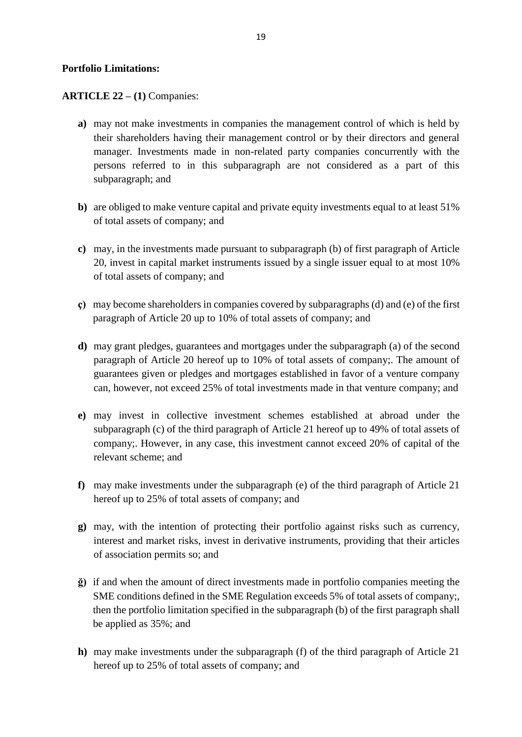#### **Portfolio Limitations:**

**ARTICLE 22 – (1)** Companies:

- **a)** may not make investments in companies the management control of which is held by their shareholders having their management control or by their directors and general manager. Investments made in non-related party companies concurrently with the persons referred to in this subparagraph are not considered as a part of this subparagraph; and
- **b**) are obliged to make venture capital and private equity investments equal to at least 51% of total assets of company; and
- **c)** may, in the investments made pursuant to subparagraph (b) of first paragraph of Article 20, invest in capital market instruments issued by a single issuer equal to at most 10% of total assets of company; and
- **ç)** may become shareholders in companies covered by subparagraphs (d) and (e) of the first paragraph of Article 20 up to 10% of total assets of company; and
- **d)** may grant pledges, guarantees and mortgages under the subparagraph (a) of the second paragraph of Article 20 hereof up to 10% of total assets of company;. The amount of guarantees given or pledges and mortgages established in favor of a venture company can, however, not exceed 25% of total investments made in that venture company; and
- **e)** may invest in collective investment schemes established at abroad under the subparagraph (c) of the third paragraph of Article 21 hereof up to 49% of total assets of company;. However, in any case, this investment cannot exceed 20% of capital of the relevant scheme; and
- **f)** may make investments under the subparagraph (e) of the third paragraph of Article 21 hereof up to 25% of total assets of company; and
- **g)** may, with the intention of protecting their portfolio against risks such as currency, interest and market risks, invest in derivative instruments, providing that their articles of association permits so; and
- **ğ)** if and when the amount of direct investments made in portfolio companies meeting the SME conditions defined in the SME Regulation exceeds 5% of total assets of company;, then the portfolio limitation specified in the subparagraph (b) of the first paragraph shall be applied as 35%; and
- **h)** may make investments under the subparagraph (f) of the third paragraph of Article 21 hereof up to 25% of total assets of company; and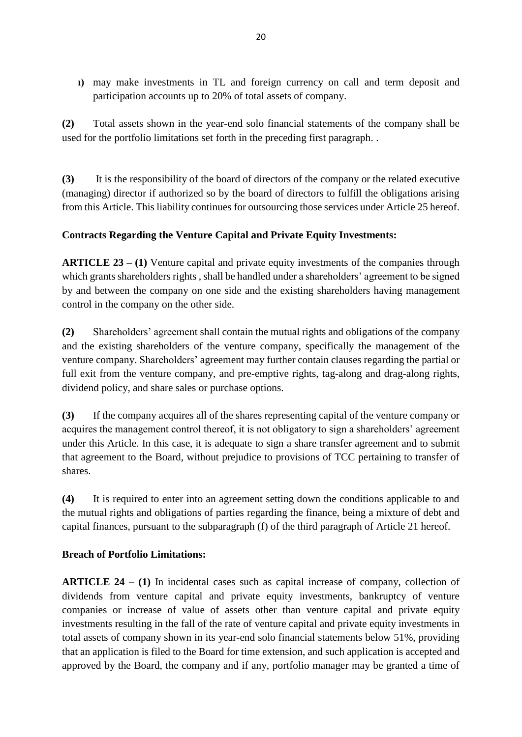**ı)** may make investments in TL and foreign currency on call and term deposit and participation accounts up to 20% of total assets of company.

**(2)** Total assets shown in the year-end solo financial statements of the company shall be used for the portfolio limitations set forth in the preceding first paragraph. .

**(3)** It is the responsibility of the board of directors of the company or the related executive (managing) director if authorized so by the board of directors to fulfill the obligations arising from this Article. This liability continues for outsourcing those services under Article 25 hereof.

## **Contracts Regarding the Venture Capital and Private Equity Investments:**

**ARTICLE 23 – (1)** Venture capital and private equity investments of the companies through which grants shareholders rights , shall be handled under a shareholders' agreement to be signed by and between the company on one side and the existing shareholders having management control in the company on the other side.

**(2)** Shareholders' agreement shall contain the mutual rights and obligations of the company and the existing shareholders of the venture company, specifically the management of the venture company. Shareholders' agreement may further contain clauses regarding the partial or full exit from the venture company, and pre-emptive rights, tag-along and drag-along rights, dividend policy, and share sales or purchase options.

**(3)** If the company acquires all of the shares representing capital of the venture company or acquires the management control thereof, it is not obligatory to sign a shareholders' agreement under this Article. In this case, it is adequate to sign a share transfer agreement and to submit that agreement to the Board, without prejudice to provisions of TCC pertaining to transfer of shares.

**(4)** It is required to enter into an agreement setting down the conditions applicable to and the mutual rights and obligations of parties regarding the finance, being a mixture of debt and capital finances, pursuant to the subparagraph (f) of the third paragraph of Article 21 hereof.

### **Breach of Portfolio Limitations:**

**ARTICLE 24 – (1)** In incidental cases such as capital increase of company, collection of dividends from venture capital and private equity investments, bankruptcy of venture companies or increase of value of assets other than venture capital and private equity investments resulting in the fall of the rate of venture capital and private equity investments in total assets of company shown in its year-end solo financial statements below 51%, providing that an application is filed to the Board for time extension, and such application is accepted and approved by the Board, the company and if any, portfolio manager may be granted a time of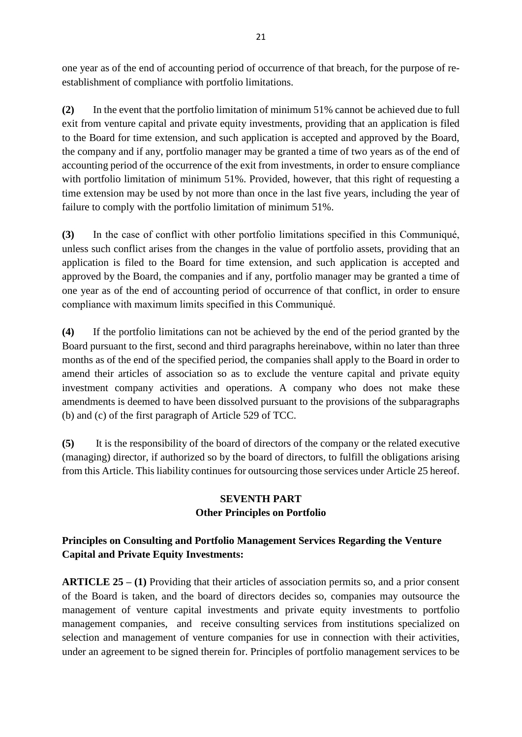one year as of the end of accounting period of occurrence of that breach, for the purpose of reestablishment of compliance with portfolio limitations.

**(2)** In the event that the portfolio limitation of minimum 51% cannot be achieved due to full exit from venture capital and private equity investments, providing that an application is filed to the Board for time extension, and such application is accepted and approved by the Board, the company and if any, portfolio manager may be granted a time of two years as of the end of accounting period of the occurrence of the exit from investments, in order to ensure compliance with portfolio limitation of minimum 51%. Provided, however, that this right of requesting a time extension may be used by not more than once in the last five years, including the year of failure to comply with the portfolio limitation of minimum 51%.

**(3)** In the case of conflict with other portfolio limitations specified in this Communiqué, unless such conflict arises from the changes in the value of portfolio assets, providing that an application is filed to the Board for time extension, and such application is accepted and approved by the Board, the companies and if any, portfolio manager may be granted a time of one year as of the end of accounting period of occurrence of that conflict, in order to ensure compliance with maximum limits specified in this Communiqué.

**(4)** If the portfolio limitations can not be achieved by the end of the period granted by the Board pursuant to the first, second and third paragraphs hereinabove, within no later than three months as of the end of the specified period, the companies shall apply to the Board in order to amend their articles of association so as to exclude the venture capital and private equity investment company activities and operations. A company who does not make these amendments is deemed to have been dissolved pursuant to the provisions of the subparagraphs (b) and (c) of the first paragraph of Article 529 of TCC.

**(5)** It is the responsibility of the board of directors of the company or the related executive (managing) director, if authorized so by the board of directors, to fulfill the obligations arising from this Article. This liability continues for outsourcing those services under Article 25 hereof.

# **SEVENTH PART Other Principles on Portfolio**

# **Principles on Consulting and Portfolio Management Services Regarding the Venture Capital and Private Equity Investments:**

**ARTICLE 25 – (1)** Providing that their articles of association permits so, and a prior consent of the Board is taken, and the board of directors decides so, companies may outsource the management of venture capital investments and private equity investments to portfolio management companies, and receive consulting services from institutions specialized on selection and management of venture companies for use in connection with their activities, under an agreement to be signed therein for. Principles of portfolio management services to be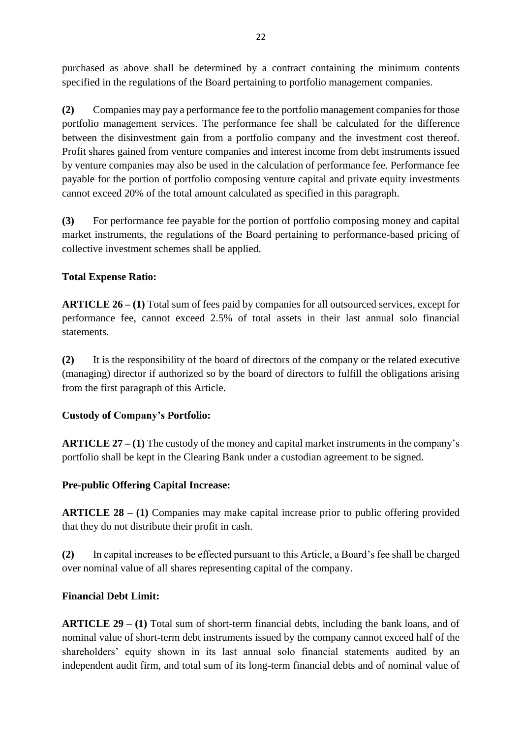purchased as above shall be determined by a contract containing the minimum contents specified in the regulations of the Board pertaining to portfolio management companies.

**(2)** Companies may pay a performance fee to the portfolio management companies for those portfolio management services. The performance fee shall be calculated for the difference between the disinvestment gain from a portfolio company and the investment cost thereof. Profit shares gained from venture companies and interest income from debt instruments issued by venture companies may also be used in the calculation of performance fee. Performance fee payable for the portion of portfolio composing venture capital and private equity investments cannot exceed 20% of the total amount calculated as specified in this paragraph.

**(3)** For performance fee payable for the portion of portfolio composing money and capital market instruments, the regulations of the Board pertaining to performance-based pricing of collective investment schemes shall be applied.

## **Total Expense Ratio:**

**ARTICLE 26 – (1)** Total sum of fees paid by companies for all outsourced services, except for performance fee, cannot exceed 2.5% of total assets in their last annual solo financial statements.

**(2)** It is the responsibility of the board of directors of the company or the related executive (managing) director if authorized so by the board of directors to fulfill the obligations arising from the first paragraph of this Article.

### **Custody of Company's Portfolio:**

**ARTICLE 27 – (1)** The custody of the money and capital market instruments in the company's portfolio shall be kept in the Clearing Bank under a custodian agreement to be signed.

### **Pre-public Offering Capital Increase:**

**ARTICLE 28 – (1)** Companies may make capital increase prior to public offering provided that they do not distribute their profit in cash.

**(2)** In capital increases to be effected pursuant to this Article, a Board's fee shall be charged over nominal value of all shares representing capital of the company.

### **Financial Debt Limit:**

**ARTICLE 29 – (1)** Total sum of short-term financial debts, including the bank loans, and of nominal value of short-term debt instruments issued by the company cannot exceed half of the shareholders' equity shown in its last annual solo financial statements audited by an independent audit firm, and total sum of its long-term financial debts and of nominal value of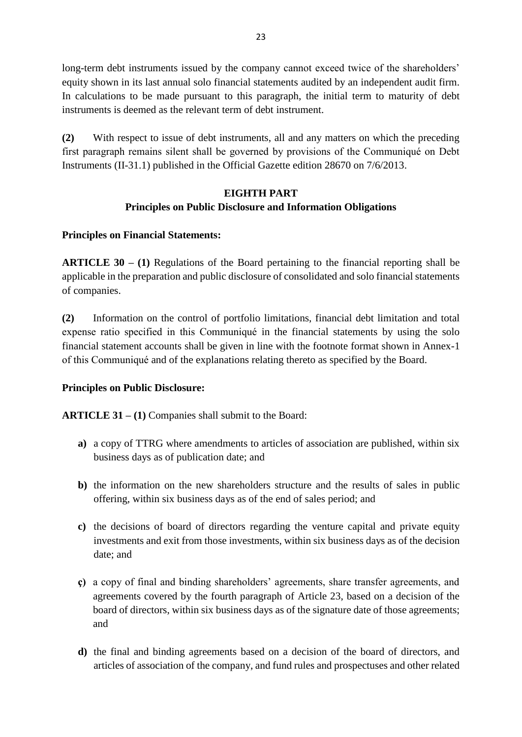long-term debt instruments issued by the company cannot exceed twice of the shareholders' equity shown in its last annual solo financial statements audited by an independent audit firm. In calculations to be made pursuant to this paragraph, the initial term to maturity of debt instruments is deemed as the relevant term of debt instrument.

**(2)** With respect to issue of debt instruments, all and any matters on which the preceding first paragraph remains silent shall be governed by provisions of the Communiqué on Debt Instruments (II-31.1) published in the Official Gazette edition 28670 on 7/6/2013.

## **EIGHTH PART Principles on Public Disclosure and Information Obligations**

## **Principles on Financial Statements:**

**ARTICLE 30 – (1)** Regulations of the Board pertaining to the financial reporting shall be applicable in the preparation and public disclosure of consolidated and solo financial statements of companies.

**(2)** Information on the control of portfolio limitations, financial debt limitation and total expense ratio specified in this Communiqué in the financial statements by using the solo financial statement accounts shall be given in line with the footnote format shown in Annex-1 of this Communiqué and of the explanations relating thereto as specified by the Board.

## **Principles on Public Disclosure:**

**ARTICLE 31 – (1)** Companies shall submit to the Board:

- **a)** a copy of TTRG where amendments to articles of association are published, within six business days as of publication date; and
- **b)** the information on the new shareholders structure and the results of sales in public offering, within six business days as of the end of sales period; and
- **c)** the decisions of board of directors regarding the venture capital and private equity investments and exit from those investments, within six business days as of the decision date; and
- **ç)** a copy of final and binding shareholders' agreements, share transfer agreements, and agreements covered by the fourth paragraph of Article 23, based on a decision of the board of directors, within six business days as of the signature date of those agreements; and
- **d)** the final and binding agreements based on a decision of the board of directors, and articles of association of the company, and fund rules and prospectuses and other related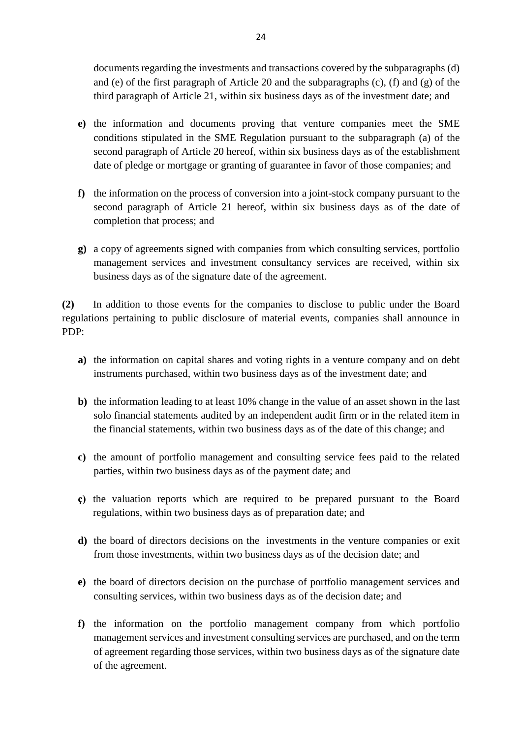documents regarding the investments and transactions covered by the subparagraphs (d) and (e) of the first paragraph of Article 20 and the subparagraphs (c), (f) and (g) of the third paragraph of Article 21, within six business days as of the investment date; and

- **e)** the information and documents proving that venture companies meet the SME conditions stipulated in the SME Regulation pursuant to the subparagraph (a) of the second paragraph of Article 20 hereof, within six business days as of the establishment date of pledge or mortgage or granting of guarantee in favor of those companies; and
- **f)** the information on the process of conversion into a joint-stock company pursuant to the second paragraph of Article 21 hereof, within six business days as of the date of completion that process; and
- **g)** a copy of agreements signed with companies from which consulting services, portfolio management services and investment consultancy services are received, within six business days as of the signature date of the agreement.

**(2)** In addition to those events for the companies to disclose to public under the Board regulations pertaining to public disclosure of material events, companies shall announce in PDP:

- **a)** the information on capital shares and voting rights in a venture company and on debt instruments purchased, within two business days as of the investment date; and
- **b)** the information leading to at least 10% change in the value of an asset shown in the last solo financial statements audited by an independent audit firm or in the related item in the financial statements, within two business days as of the date of this change; and
- **c)** the amount of portfolio management and consulting service fees paid to the related parties, within two business days as of the payment date; and
- **ç)** the valuation reports which are required to be prepared pursuant to the Board regulations, within two business days as of preparation date; and
- **d)** the board of directors decisions on the investments in the venture companies or exit from those investments, within two business days as of the decision date; and
- **e)** the board of directors decision on the purchase of portfolio management services and consulting services, within two business days as of the decision date; and
- **f)** the information on the portfolio management company from which portfolio management services and investment consulting services are purchased, and on the term of agreement regarding those services, within two business days as of the signature date of the agreement.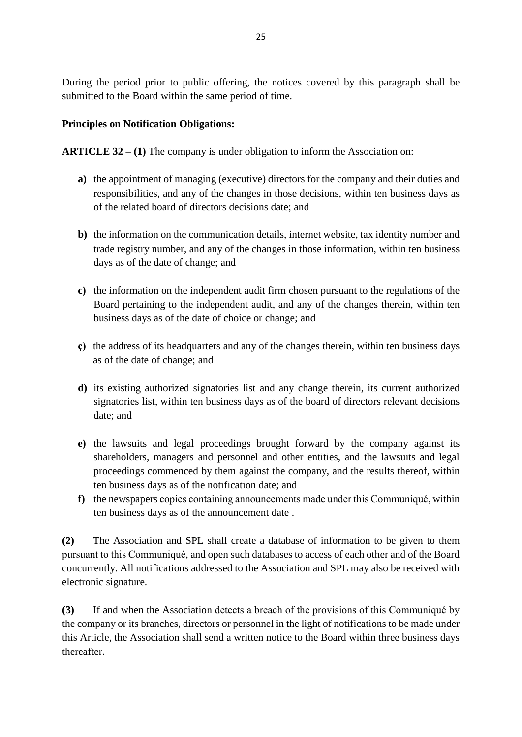During the period prior to public offering, the notices covered by this paragraph shall be submitted to the Board within the same period of time.

## **Principles on Notification Obligations:**

**ARTICLE 32 – (1)** The company is under obligation to inform the Association on:

- **a)** the appointment of managing (executive) directors for the company and their duties and responsibilities, and any of the changes in those decisions, within ten business days as of the related board of directors decisions date; and
- **b)** the information on the communication details, internet website, tax identity number and trade registry number, and any of the changes in those information, within ten business days as of the date of change; and
- **c)** the information on the independent audit firm chosen pursuant to the regulations of the Board pertaining to the independent audit, and any of the changes therein, within ten business days as of the date of choice or change; and
- **ç)** the address of its headquarters and any of the changes therein, within ten business days as of the date of change; and
- **d)** its existing authorized signatories list and any change therein, its current authorized signatories list, within ten business days as of the board of directors relevant decisions date; and
- **e)** the lawsuits and legal proceedings brought forward by the company against its shareholders, managers and personnel and other entities, and the lawsuits and legal proceedings commenced by them against the company, and the results thereof, within ten business days as of the notification date; and
- **f)** the newspapers copies containing announcements made under this Communiqué, within ten business days as of the announcement date .

**(2)** The Association and SPL shall create a database of information to be given to them pursuant to this Communiqué, and open such databases to access of each other and of the Board concurrently. All notifications addressed to the Association and SPL may also be received with electronic signature.

**(3)** If and when the Association detects a breach of the provisions of this Communiqué by the company or its branches, directors or personnel in the light of notifications to be made under this Article, the Association shall send a written notice to the Board within three business days thereafter.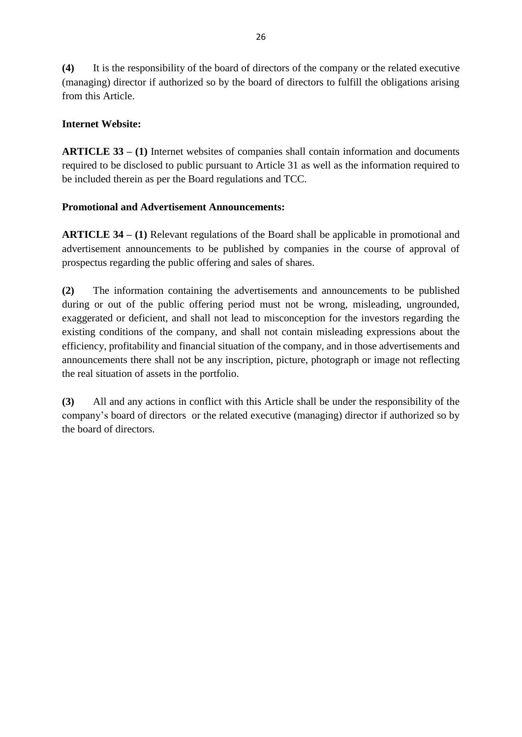**(4)** It is the responsibility of the board of directors of the company or the related executive (managing) director if authorized so by the board of directors to fulfill the obligations arising from this Article.

## **Internet Website:**

**ARTICLE 33 – (1)** Internet websites of companies shall contain information and documents required to be disclosed to public pursuant to Article 31 as well as the information required to be included therein as per the Board regulations and TCC.

## **Promotional and Advertisement Announcements:**

**ARTICLE 34 – (1)** Relevant regulations of the Board shall be applicable in promotional and advertisement announcements to be published by companies in the course of approval of prospectus regarding the public offering and sales of shares.

**(2)** The information containing the advertisements and announcements to be published during or out of the public offering period must not be wrong, misleading, ungrounded, exaggerated or deficient, and shall not lead to misconception for the investors regarding the existing conditions of the company, and shall not contain misleading expressions about the efficiency, profitability and financial situation of the company, and in those advertisements and announcements there shall not be any inscription, picture, photograph or image not reflecting the real situation of assets in the portfolio.

**(3)** All and any actions in conflict with this Article shall be under the responsibility of the company's board of directors or the related executive (managing) director if authorized so by the board of directors.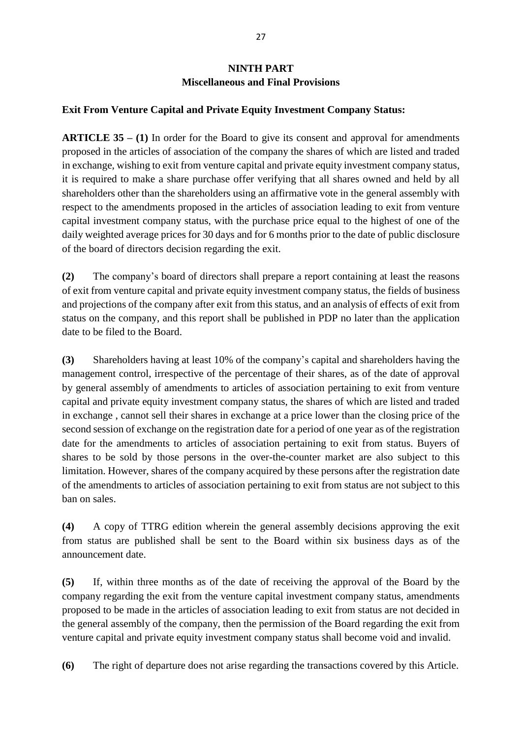# **NINTH PART Miscellaneous and Final Provisions**

### **Exit From Venture Capital and Private Equity Investment Company Status:**

**ARTICLE 35 – (1)** In order for the Board to give its consent and approval for amendments proposed in the articles of association of the company the shares of which are listed and traded in exchange, wishing to exit from venture capital and private equity investment company status, it is required to make a share purchase offer verifying that all shares owned and held by all shareholders other than the shareholders using an affirmative vote in the general assembly with respect to the amendments proposed in the articles of association leading to exit from venture capital investment company status, with the purchase price equal to the highest of one of the daily weighted average prices for 30 days and for 6 months prior to the date of public disclosure of the board of directors decision regarding the exit.

**(2)** The company's board of directors shall prepare a report containing at least the reasons of exit from venture capital and private equity investment company status, the fields of business and projections of the company after exit from this status, and an analysis of effects of exit from status on the company, and this report shall be published in PDP no later than the application date to be filed to the Board.

**(3)** Shareholders having at least 10% of the company's capital and shareholders having the management control, irrespective of the percentage of their shares, as of the date of approval by general assembly of amendments to articles of association pertaining to exit from venture capital and private equity investment company status, the shares of which are listed and traded in exchange , cannot sell their shares in exchange at a price lower than the closing price of the second session of exchange on the registration date for a period of one year as of the registration date for the amendments to articles of association pertaining to exit from status. Buyers of shares to be sold by those persons in the over-the-counter market are also subject to this limitation. However, shares of the company acquired by these persons after the registration date of the amendments to articles of association pertaining to exit from status are not subject to this ban on sales.

**(4)** A copy of TTRG edition wherein the general assembly decisions approving the exit from status are published shall be sent to the Board within six business days as of the announcement date.

**(5)** If, within three months as of the date of receiving the approval of the Board by the company regarding the exit from the venture capital investment company status, amendments proposed to be made in the articles of association leading to exit from status are not decided in the general assembly of the company, then the permission of the Board regarding the exit from venture capital and private equity investment company status shall become void and invalid.

**(6)** The right of departure does not arise regarding the transactions covered by this Article.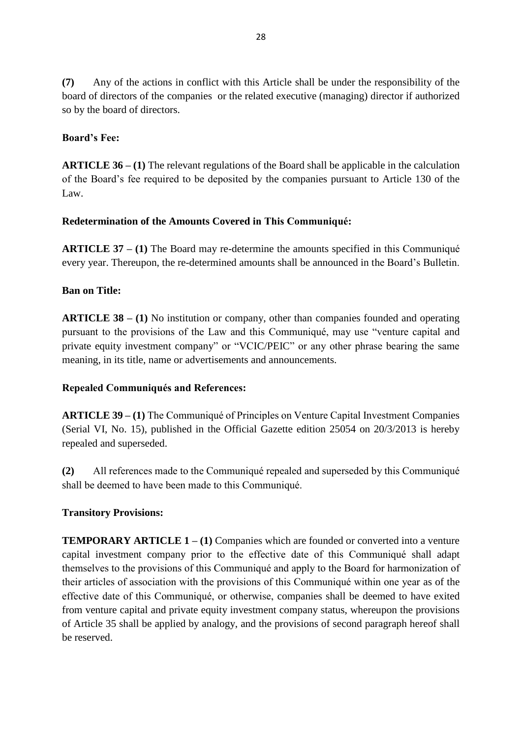**(7)** Any of the actions in conflict with this Article shall be under the responsibility of the board of directors of the companies or the related executive (managing) director if authorized so by the board of directors.

## **Board's Fee:**

**ARTICLE 36 – (1)** The relevant regulations of the Board shall be applicable in the calculation of the Board's fee required to be deposited by the companies pursuant to Article 130 of the Law.

## **Redetermination of the Amounts Covered in This Communiqué:**

**ARTICLE 37 – (1)** The Board may re-determine the amounts specified in this Communiqué every year. Thereupon, the re-determined amounts shall be announced in the Board's Bulletin.

### **Ban on Title:**

**ARTICLE 38 – (1)** No institution or company, other than companies founded and operating pursuant to the provisions of the Law and this Communiqué, may use "venture capital and private equity investment company" or "VCIC/PEIC" or any other phrase bearing the same meaning, in its title, name or advertisements and announcements.

### **Repealed Communiqués and References:**

**ARTICLE 39 – (1)** The Communiqué of Principles on Venture Capital Investment Companies (Serial VI, No. 15), published in the Official Gazette edition 25054 on 20/3/2013 is hereby repealed and superseded.

**(2)** All references made to the Communiqué repealed and superseded by this Communiqué shall be deemed to have been made to this Communiqué.

### **Transitory Provisions:**

**TEMPORARY ARTICLE 1 – (1) Companies which are founded or converted into a venture** capital investment company prior to the effective date of this Communiqué shall adapt themselves to the provisions of this Communiqué and apply to the Board for harmonization of their articles of association with the provisions of this Communiqué within one year as of the effective date of this Communiqué, or otherwise, companies shall be deemed to have exited from venture capital and private equity investment company status, whereupon the provisions of Article 35 shall be applied by analogy, and the provisions of second paragraph hereof shall be reserved.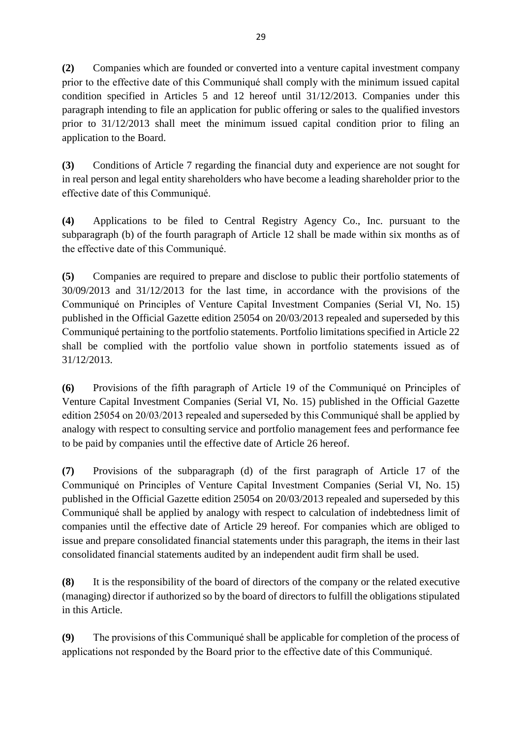**(2)** Companies which are founded or converted into a venture capital investment company prior to the effective date of this Communiqué shall comply with the minimum issued capital condition specified in Articles 5 and 12 hereof until 31/12/2013. Companies under this paragraph intending to file an application for public offering or sales to the qualified investors prior to 31/12/2013 shall meet the minimum issued capital condition prior to filing an application to the Board.

**(3)** Conditions of Article 7 regarding the financial duty and experience are not sought for in real person and legal entity shareholders who have become a leading shareholder prior to the effective date of this Communiqué.

**(4)** Applications to be filed to Central Registry Agency Co., Inc. pursuant to the subparagraph (b) of the fourth paragraph of Article 12 shall be made within six months as of the effective date of this Communiqué.

**(5)** Companies are required to prepare and disclose to public their portfolio statements of 30/09/2013 and 31/12/2013 for the last time, in accordance with the provisions of the Communiqué on Principles of Venture Capital Investment Companies (Serial VI, No. 15) published in the Official Gazette edition 25054 on 20/03/2013 repealed and superseded by this Communiqué pertaining to the portfolio statements. Portfolio limitations specified in Article 22 shall be complied with the portfolio value shown in portfolio statements issued as of 31/12/2013.

**(6)** Provisions of the fifth paragraph of Article 19 of the Communiqué on Principles of Venture Capital Investment Companies (Serial VI, No. 15) published in the Official Gazette edition 25054 on 20/03/2013 repealed and superseded by this Communiqué shall be applied by analogy with respect to consulting service and portfolio management fees and performance fee to be paid by companies until the effective date of Article 26 hereof.

**(7)** Provisions of the subparagraph (d) of the first paragraph of Article 17 of the Communiqué on Principles of Venture Capital Investment Companies (Serial VI, No. 15) published in the Official Gazette edition 25054 on 20/03/2013 repealed and superseded by this Communiqué shall be applied by analogy with respect to calculation of indebtedness limit of companies until the effective date of Article 29 hereof. For companies which are obliged to issue and prepare consolidated financial statements under this paragraph, the items in their last consolidated financial statements audited by an independent audit firm shall be used.

**(8)** It is the responsibility of the board of directors of the company or the related executive (managing) director if authorized so by the board of directors to fulfill the obligations stipulated in this Article.

**(9)** The provisions of this Communiqué shall be applicable for completion of the process of applications not responded by the Board prior to the effective date of this Communiqué.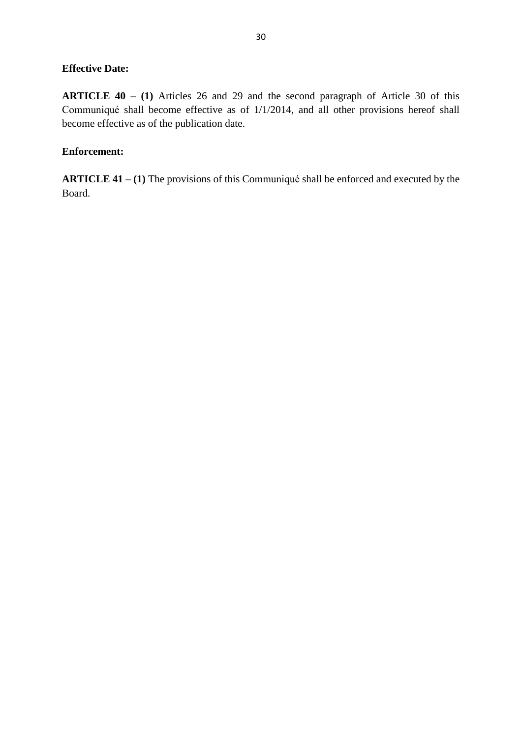### **Effective Date:**

**ARTICLE 40 – (1)** Articles 26 and 29 and the second paragraph of Article 30 of this Communiqué shall become effective as of 1/1/2014, and all other provisions hereof shall become effective as of the publication date.

### **Enforcement:**

**ARTICLE 41 – (1)** The provisions of this Communiqué shall be enforced and executed by the Board.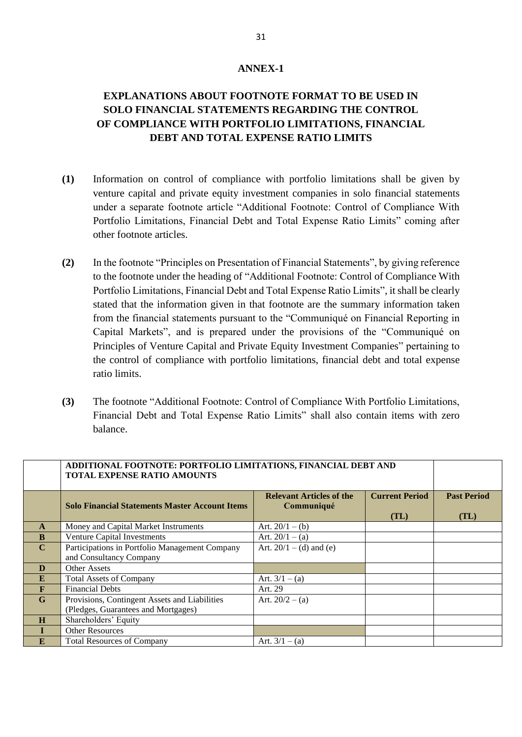#### **ANNEX-1**

# **EXPLANATIONS ABOUT FOOTNOTE FORMAT TO BE USED IN SOLO FINANCIAL STATEMENTS REGARDING THE CONTROL OF COMPLIANCE WITH PORTFOLIO LIMITATIONS, FINANCIAL DEBT AND TOTAL EXPENSE RATIO LIMITS**

- **(1)** Information on control of compliance with portfolio limitations shall be given by venture capital and private equity investment companies in solo financial statements under a separate footnote article "Additional Footnote: Control of Compliance With Portfolio Limitations, Financial Debt and Total Expense Ratio Limits" coming after other footnote articles.
- **(2)** In the footnote "Principles on Presentation of Financial Statements", by giving reference to the footnote under the heading of "Additional Footnote: Control of Compliance With Portfolio Limitations, Financial Debt and Total Expense Ratio Limits", it shall be clearly stated that the information given in that footnote are the summary information taken from the financial statements pursuant to the "Communiqué on Financial Reporting in Capital Markets", and is prepared under the provisions of the "Communiqué on Principles of Venture Capital and Private Equity Investment Companies" pertaining to the control of compliance with portfolio limitations, financial debt and total expense ratio limits.
- **(3)** The footnote "Additional Footnote: Control of Compliance With Portfolio Limitations, Financial Debt and Total Expense Ratio Limits" shall also contain items with zero balance.

|             | ADDITIONAL FOOTNOTE: PORTFOLIO LIMITATIONS, FINANCIAL DEBT AND<br><b>TOTAL EXPENSE RATIO AMOUNTS</b> |                                               |                               |                            |
|-------------|------------------------------------------------------------------------------------------------------|-----------------------------------------------|-------------------------------|----------------------------|
|             | <b>Solo Financial Statements Master Account Items</b>                                                | <b>Relevant Articles of the</b><br>Communiqué | <b>Current Period</b><br>(TL) | <b>Past Period</b><br>(TL) |
| A           | Money and Capital Market Instruments                                                                 | Art. $20/1 - (b)$                             |                               |                            |
| B           | Venture Capital Investments                                                                          | Art. $20/1 - (a)$                             |                               |                            |
| $\mathbf C$ | Participations in Portfolio Management Company                                                       | Art. $20/1 - (d)$ and (e)                     |                               |                            |
|             | and Consultancy Company                                                                              |                                               |                               |                            |
| D           | Other Assets                                                                                         |                                               |                               |                            |
| E           | <b>Total Assets of Company</b>                                                                       | Art. $3/1 - (a)$                              |                               |                            |
| F           | <b>Financial Debts</b>                                                                               | Art. 29                                       |                               |                            |
| G           | Provisions, Contingent Assets and Liabilities                                                        | Art. $20/2 - (a)$                             |                               |                            |
|             | (Pledges, Guarantees and Mortgages)                                                                  |                                               |                               |                            |
| H           | Shareholders' Equity                                                                                 |                                               |                               |                            |
|             | <b>Other Resources</b>                                                                               |                                               |                               |                            |
| E           | <b>Total Resources of Company</b>                                                                    | Art. $3/1 - (a)$                              |                               |                            |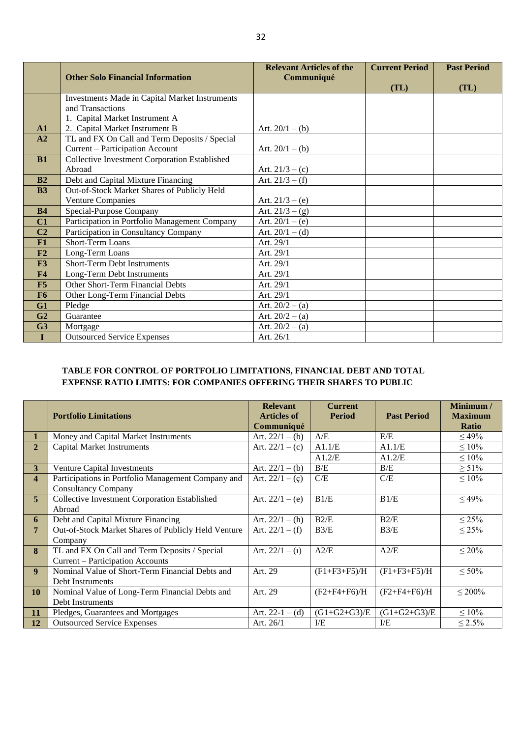|                |                                                | <b>Relevant Articles of the</b> | <b>Current Period</b> | <b>Past Period</b> |
|----------------|------------------------------------------------|---------------------------------|-----------------------|--------------------|
|                | <b>Other Solo Financial Information</b>        | Communiqué                      |                       |                    |
|                |                                                |                                 | (TL)                  | (TL)               |
|                | Investments Made in Capital Market Instruments |                                 |                       |                    |
|                | and Transactions                               |                                 |                       |                    |
|                | 1. Capital Market Instrument A                 |                                 |                       |                    |
| $\mathbf{A}1$  | 2. Capital Market Instrument B                 | Art. $20/1 - (b)$               |                       |                    |
| A2             | TL and FX On Call and Term Deposits / Special  |                                 |                       |                    |
|                | Current - Participation Account                | Art. $20/1 - (b)$               |                       |                    |
| <b>B1</b>      | Collective Investment Corporation Established  |                                 |                       |                    |
|                | Abroad                                         | Art. $21/3 - (c)$               |                       |                    |
| B <sub>2</sub> | Debt and Capital Mixture Financing             | Art. $21/3 - (f)$               |                       |                    |
| <b>B3</b>      | Out-of-Stock Market Shares of Publicly Held    |                                 |                       |                    |
|                | <b>Venture Companies</b>                       | Art. $21/3 - (e)$               |                       |                    |
| <b>B4</b>      | Special-Purpose Company                        | Art. $21/3 - (g)$               |                       |                    |
| C1             | Participation in Portfolio Management Company  | Art. $20/1 - (e)$               |                       |                    |
| C <sub>2</sub> | Participation in Consultancy Company           | Art. $20/1 - (d)$               |                       |                    |
| F1             | <b>Short-Term Loans</b>                        | Art. 29/1                       |                       |                    |
| F2             | Long-Term Loans                                | Art. 29/1                       |                       |                    |
| F3             | Short-Term Debt Instruments                    | Art. 29/1                       |                       |                    |
| F <sub>4</sub> | Long-Term Debt Instruments                     | Art. 29/1                       |                       |                    |
| F5             | Other Short-Term Financial Debts               | Art. 29/1                       |                       |                    |
| F <sub>6</sub> | Other Long-Term Financial Debts                | Art. 29/1                       |                       |                    |
| G1             | Pledge                                         | Art. $20/2 - (a)$               |                       |                    |
| G <sub>2</sub> | Guarantee                                      | Art. $20/2 - (a)$               |                       |                    |
| G <sub>3</sub> | Mortgage                                       | Art. $20/2 - (a)$               |                       |                    |
| I              | <b>Outsourced Service Expenses</b>             | Art. 26/1                       |                       |                    |

#### **TABLE FOR CONTROL OF PORTFOLIO LIMITATIONS, FINANCIAL DEBT AND TOTAL EXPENSE RATIO LIMITS: FOR COMPANIES OFFERING THEIR SHARES TO PUBLIC**

|                         | <b>Portfolio Limitations</b>                                                      | <b>Relevant</b><br><b>Articles of</b> | <b>Current</b><br><b>Period</b> | <b>Past Period</b> | Minimum /<br><b>Maximum</b> |
|-------------------------|-----------------------------------------------------------------------------------|---------------------------------------|---------------------------------|--------------------|-----------------------------|
|                         |                                                                                   | Communiqué                            |                                 |                    | <b>Ratio</b>                |
| 1                       | Money and Capital Market Instruments                                              | Art. $22/1 - (b)$                     | A/E                             | E/E                | $\leq 49\%$                 |
| $\overline{2}$          | <b>Capital Market Instruments</b>                                                 | Art. $22/1 - (c)$                     | A1.1/E                          | A1.1/E             | $\leq 10\%$                 |
|                         |                                                                                   |                                       | A1.2/E                          | A1.2/E             | $\leq 10\%$                 |
| 3                       | Venture Capital Investments                                                       | Art. $22/1 - (b)$                     | B/E                             | B/E                | $\geq 51\%$                 |
| $\overline{\mathbf{4}}$ | Participations in Portfolio Management Company and<br><b>Consultancy Company</b>  | Art. $22/1 - (c)$                     | C/E                             | C/E                | $\leq 10\%$                 |
| $\overline{5}$          | Collective Investment Corporation Established<br>Abroad                           | Art. $22/1 - (e)$                     | B1/E                            | B1/E               | $\leq 49\%$                 |
| 6                       | Debt and Capital Mixture Financing                                                | Art. $22/1 - (h)$                     | B2/E                            | B2/E               | $\leq$ 25%                  |
| $\overline{7}$          | Out-of-Stock Market Shares of Publicly Held Venture<br>Company                    | Art. $22/1 - (f)$                     | B3/E                            | B3/E               | $\leq$ 25%                  |
| 8                       | TL and FX On Call and Term Deposits / Special<br>Current – Participation Accounts | Art. $22/1 - (1)$                     | A2/E                            | A2/E               | $\leq 20\%$                 |
| $\boldsymbol{9}$        | Nominal Value of Short-Term Financial Debts and<br>Debt Instruments               | Art. 29                               | $(F1 + F3 + F5)/H$              | $(F1 + F3 + F5)/H$ | $\leq 50\%$                 |
| <b>10</b>               | Nominal Value of Long-Term Financial Debts and                                    | Art. 29                               | $(F2 + F4 + F6)/H$              | $(F2 + F4 + F6)/H$ | $\leq 200\%$                |
|                         | Debt Instruments                                                                  |                                       |                                 |                    |                             |
| <b>11</b>               | Pledges, Guarantees and Mortgages                                                 | Art. $22-1-(d)$                       | $(G1+G2+G3)/E$                  | $(G1+G2+G3)/E$     | $\leq 10\%$                 |
| 12                      | <b>Outsourced Service Expenses</b>                                                | Art. 26/1                             | ${\rm I\!/\!E}$                 | I/E                | $\leq 2.5\%$                |